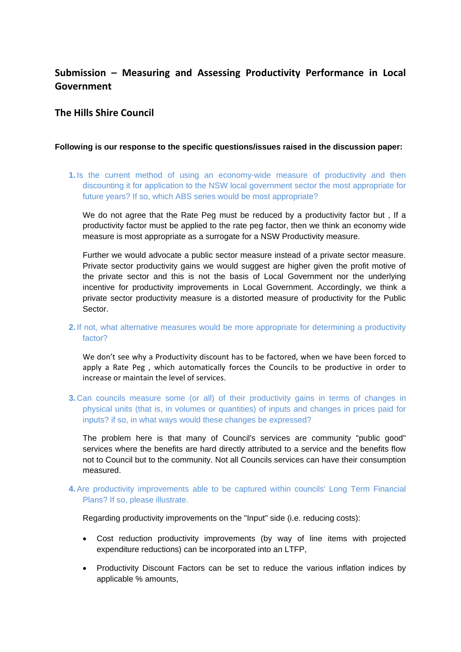# **Submission – Measuring and Assessing Productivity Performance in Local Government**

# **The Hills Shire Council**

#### **Following is our response to the specific questions/issues raised in the discussion paper:**

**1.** Is the current method of using an economy-wide measure of productivity and then discounting it for application to the NSW local government sector the most appropriate for future years? If so, which ABS series would be most appropriate?

We do not agree that the Rate Peg must be reduced by a productivity factor but , If a productivity factor must be applied to the rate peg factor, then we think an economy wide measure is most appropriate as a surrogate for a NSW Productivity measure.

Further we would advocate a public sector measure instead of a private sector measure. Private sector productivity gains we would suggest are higher given the profit motive of the private sector and this is not the basis of Local Government nor the underlying incentive for productivity improvements in Local Government. Accordingly, we think a private sector productivity measure is a distorted measure of productivity for the Public Sector.

## **2.** If not, what alternative measures would be more appropriate for determining a productivity factor?

We don't see why a Productivity discount has to be factored, when we have been forced to apply a Rate Peg , which automatically forces the Councils to be productive in order to increase or maintain the level of services.

**3.** Can councils measure some (or all) of their productivity gains in terms of changes in physical units (that is, in volumes or quantities) of inputs and changes in prices paid for inputs? if so, in what ways would these changes be expressed?

The problem here is that many of Council's services are community "public good" services where the benefits are hard directly attributed to a service and the benefits flow not to Council but to the community. Not all Councils services can have their consumption measured.

## **4.** Are productivity improvements able to be captured within councils' Long Term Financial Plans? If so, please illustrate.

Regarding productivity improvements on the "Input" side (i.e. reducing costs):

- Cost reduction productivity improvements (by way of line items with projected expenditure reductions) can be incorporated into an LTFP,
- Productivity Discount Factors can be set to reduce the various inflation indices by applicable % amounts,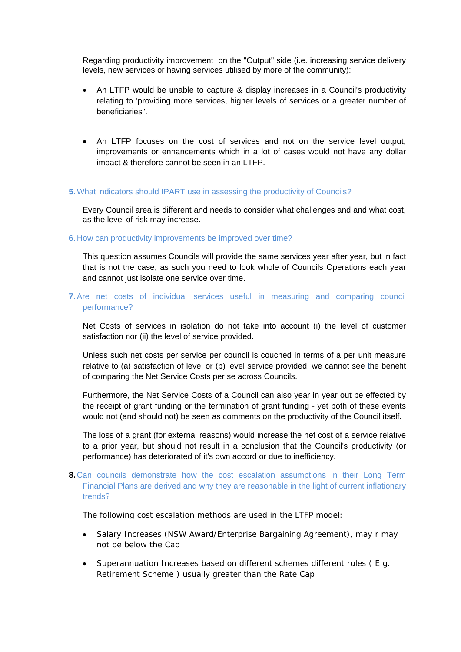Regarding productivity improvement on the "Output" side (i.e. increasing service delivery levels, new services or having services utilised by more of the community):

- An LTFP would be unable to capture & display increases in a Council's productivity relating to 'providing more services, higher levels of services or a greater number of beneficiaries".
- An LTFP focuses on the cost of services and not on the service level output, improvements or enhancements which in a lot of cases would not have any dollar impact & therefore cannot be seen in an LTFP.

#### **5.** What indicators should IPART use in assessing the productivity of Councils?

Every Council area is different and needs to consider what challenges and and what cost, as the level of risk may increase.

#### **6.** How can productivity improvements be improved over time?

This question assumes Councils will provide the same services year after year, but in fact that is not the case, as such you need to look whole of Councils Operations each year and cannot just isolate one service over time.

### **7.** Are net costs of individual services useful in measuring and comparing council performance?

Net Costs of services in isolation do not take into account (i) the level of customer satisfaction nor (ii) the level of service provided.

Unless such net costs per service per council is couched in terms of a per unit measure relative to (a) satisfaction of level or (b) level service provided, we cannot see the benefit of comparing the Net Service Costs per se across Councils.

Furthermore, the Net Service Costs of a Council can also year in year out be effected by the receipt of grant funding or the termination of grant funding - yet both of these events would not (and should not) be seen as comments on the productivity of the Council itself.

The loss of a grant (for external reasons) would increase the net cost of a service relative to a prior year, but should not result in a conclusion that the Council's productivity (or performance) has deteriorated of it's own accord or due to inefficiency.

## **8.** Can councils demonstrate how the cost escalation assumptions in their Long Term Financial Plans are derived and why they are reasonable in the light of current inflationary trends?

The following cost escalation methods are used in the LTFP model:

- Salary Increases (NSW Award/Enterprise Bargaining Agreement), may r may not be below the Cap
- Superannuation Increases based on different schemes different rules ( E.g. Retirement Scheme ) usually greater than the Rate Cap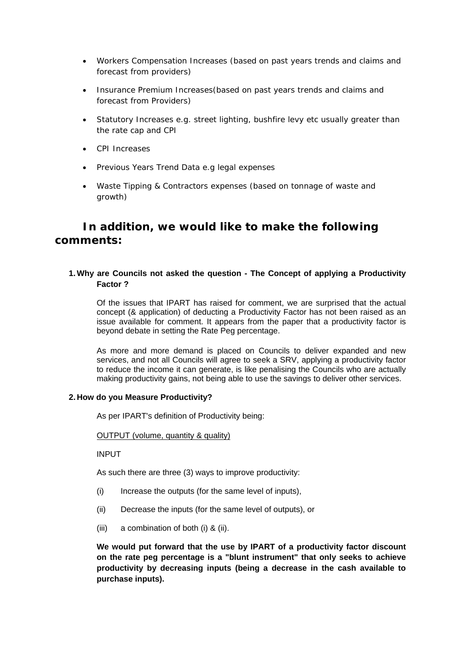- Workers Compensation Increases (based on past years trends and claims and forecast from providers)
- Insurance Premium Increases (based on past years trends and claims and forecast from Providers)
- Statutory Increases e.g. street lighting, bushfire levy etc usually greater than the rate cap and CPI
- CPI Increases
- Previous Years Trend Data e.g legal expenses
- Waste Tipping & Contractors expenses (based on tonnage of waste and growth)

# **In addition, we would like to make the following comments:**

## **1. Why are Councils not asked the question - The Concept of applying a Productivity Factor ?**

Of the issues that IPART has raised for comment, we are surprised that the actual concept (& application) of deducting a Productivity Factor has not been raised as an issue available for comment. It appears from the paper that a productivity factor is beyond debate in setting the Rate Peg percentage.

As more and more demand is placed on Councils to deliver expanded and new services, and not all Councils will agree to seek a SRV, applying a productivity factor to reduce the income it can generate, is like penalising the Councils who are actually making productivity gains, not being able to use the savings to deliver other services.

### **2. How do you Measure Productivity?**

As per IPART's definition of Productivity being:

### OUTPUT (volume, quantity & quality)

INPUT

As such there are three (3) ways to improve productivity:

- (i) Increase the outputs (for the same level of inputs),
- (ii) Decrease the inputs (for the same level of outputs), or
- (iii) a combination of both (i) & (ii).

**We would put forward that the use by IPART of a productivity factor discount on the rate peg percentage is a "blunt instrument" that only seeks to achieve productivity by decreasing inputs (being a decrease in the cash available to purchase inputs).**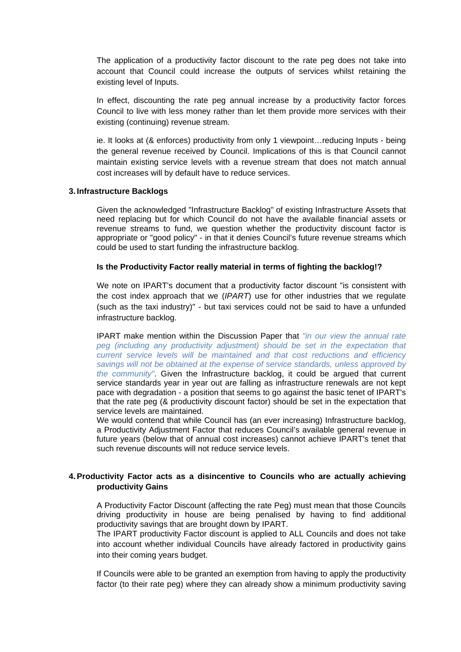The application of a productivity factor discount to the rate peg does not take into account that Council could increase the outputs of services whilst retaining the existing level of Inputs.

In effect, discounting the rate peg annual increase by a productivity factor forces Council to live with less money rather than let them provide more services with their existing (continuing) revenue stream.

ie. It looks at (& enforces) productivity from only 1 viewpoint…reducing Inputs - being the general revenue received by Council. Implications of this is that Council cannot maintain existing service levels with a revenue stream that does not match annual cost increases will by default have to reduce services.

#### **3. Infrastructure Backlogs**

Given the acknowledged "Infrastructure Backlog" of existing Infrastructure Assets that need replacing but for which Council do not have the available financial assets or revenue streams to fund, we question whether the productivity discount factor is appropriate or "good policy" - in that it denies Council's future revenue streams which could be used to start funding the infrastructure backlog.

#### **Is the Productivity Factor really material in terms of fighting the backlog!?**

We note on IPART's document that a productivity factor discount "is consistent with the cost index approach that we (*IPART*) use for other industries that we regulate (such as the taxi industry)" - but taxi services could not be said to have a unfunded infrastructure backlog.

IPART make mention within the Discussion Paper that *"in our view the annual rate peg (including any productivity adjustment) should be set in the expectation that current service levels will be maintained and that cost reductions and efficiency savings will not be obtained at the expense of service standards, unless approved by the community"*. Given the Infrastructure backlog, it could be argued that current service standards year in year out are falling as infrastructure renewals are not kept pace with degradation - a position that seems to go against the basic tenet of IPART's that the rate peg (& productivity discount factor) should be set in the expectation that service levels are maintained.

We would contend that while Council has (an ever increasing) Infrastructure backlog, a Productivity Adjustment Factor that reduces Council's available general revenue in future years (below that of annual cost increases) cannot achieve IPART's tenet that such revenue discounts will not reduce service levels.

## **4. Productivity Factor acts as a disincentive to Councils who are actually achieving productivity Gains**

A Productivity Factor Discount (affecting the rate Peg) must mean that those Councils driving productivity in house are being penalised by having to find additional productivity savings that are brought down by IPART.

The IPART productivity Factor discount is applied to ALL Councils and does not take into account whether individual Councils have already factored in productivity gains into their coming years budget.

If Councils were able to be granted an exemption from having to apply the productivity factor (to their rate peg) where they can already show a minimum productivity saving